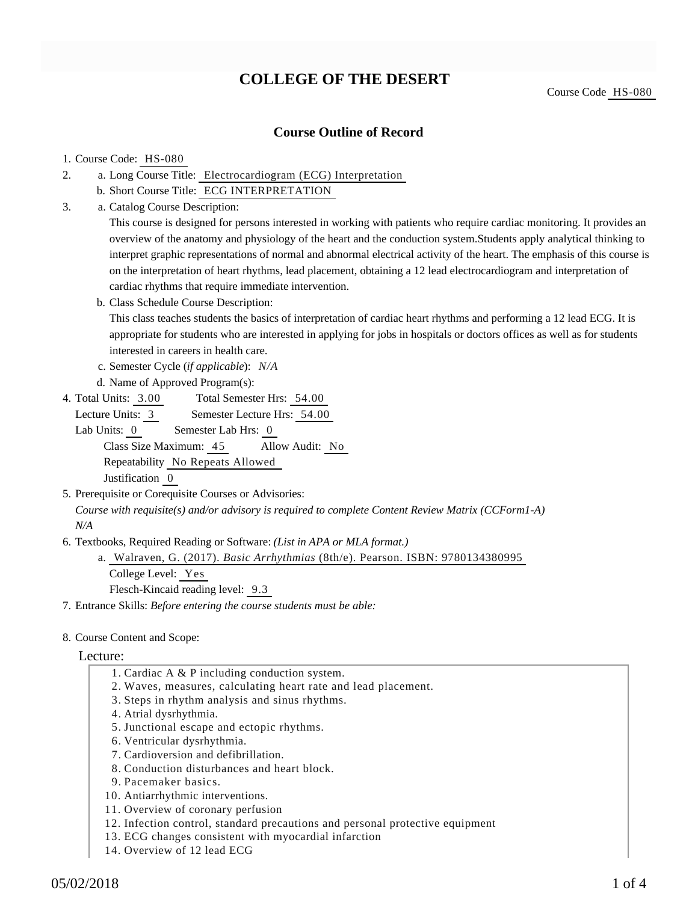# **COLLEGE OF THE DESERT**

Course Code HS-080

## **Course Outline of Record**

## 1. Course Code: HS-080

- a. Long Course Title: Electrocardiogram (ECG) Interpretation 2.
	- b. Short Course Title: ECG INTERPRETATION
- Catalog Course Description: a. 3.

This course is designed for persons interested in working with patients who require cardiac monitoring. It provides an overview of the anatomy and physiology of the heart and the conduction system.Students apply analytical thinking to interpret graphic representations of normal and abnormal electrical activity of the heart. The emphasis of this course is on the interpretation of heart rhythms, lead placement, obtaining a 12 lead electrocardiogram and interpretation of cardiac rhythms that require immediate intervention.

b. Class Schedule Course Description:

This class teaches students the basics of interpretation of cardiac heart rhythms and performing a 12 lead ECG. It is appropriate for students who are interested in applying for jobs in hospitals or doctors offices as well as for students interested in careers in health care.

- c. Semester Cycle (*if applicable*): *N/A*
- d. Name of Approved Program(s):
- Total Semester Hrs: 54.00 4. Total Units: 3.00

Lecture Units: 3 Semester Lecture Hrs: 54.00

Lab Units: 0 Semester Lab Hrs: 0 Class Size Maximum: 45 Allow Audit: No

Repeatability No Repeats Allowed

Justification 0

- 5. Prerequisite or Corequisite Courses or Advisories: *Course with requisite(s) and/or advisory is required to complete Content Review Matrix (CCForm1-A) N/A*
- 6. Textbooks, Required Reading or Software: (List in APA or MLA format.)
	- Walraven, G. (2017). *Basic Arrhythmias* (8th/e). Pearson. ISBN: 9780134380995 a.

College Level: Yes

Flesch-Kincaid reading level: 9.3

7. Entrance Skills: *Before entering the course students must be able:*

### 8. Course Content and Scope:

### Lecture:

- 1. Cardiac A & P including conduction system.
- 2. Waves, measures, calculating heart rate and lead placement.
- 3. Steps in rhythm analysis and sinus rhythms.
- 4. Atrial dysrhythmia.
- 5. Junctional escape and ectopic rhythms.
- 6. Ventricular dysrhythmia.
- 7. Cardioversion and defibrillation.
- 8. Conduction disturbances and heart block.
- 9. Pacemaker basics.
- 10. Antiarrhythmic interventions.
- 11. Overview of coronary perfusion
- 12. Infection control, standard precautions and personal protective equipment
- 13. ECG changes consistent with myocardial infarction
- 14. Overview of 12 lead ECG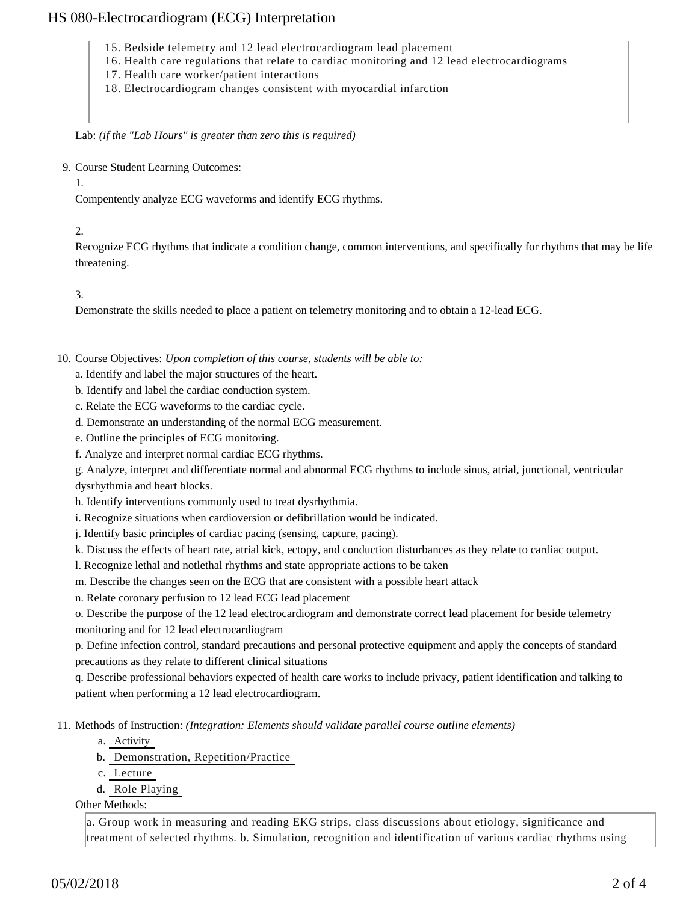## HS 080-Electrocardiogram (ECG) Interpretation

- 15. Bedside telemetry and 12 lead electrocardiogram lead placement
- 16. Health care regulations that relate to cardiac monitoring and 12 lead electrocardiograms
- 17. Health care worker/patient interactions
- 18. Electrocardiogram changes consistent with myocardial infarction

Lab: *(if the "Lab Hours" is greater than zero this is required)*

9. Course Student Learning Outcomes:

1.

Compentently analyze ECG waveforms and identify ECG rhythms.

## 2.

Recognize ECG rhythms that indicate a condition change, common interventions, and specifically for rhythms that may be life threatening.

## 3.

Demonstrate the skills needed to place a patient on telemetry monitoring and to obtain a 12-lead ECG.

10. Course Objectives: Upon completion of this course, students will be able to:

- a. Identify and label the major structures of the heart.
- b. Identify and label the cardiac conduction system.
- c. Relate the ECG waveforms to the cardiac cycle.
- d. Demonstrate an understanding of the normal ECG measurement.
- e. Outline the principles of ECG monitoring.
- f. Analyze and interpret normal cardiac ECG rhythms.

g. Analyze, interpret and differentiate normal and abnormal ECG rhythms to include sinus, atrial, junctional, ventricular dysrhythmia and heart blocks.

h. Identify interventions commonly used to treat dysrhythmia.

i. Recognize situations when cardioversion or defibrillation would be indicated.

j. Identify basic principles of cardiac pacing (sensing, capture, pacing).

k. Discuss the effects of heart rate, atrial kick, ectopy, and conduction disturbances as they relate to cardiac output.

- l. Recognize lethal and notlethal rhythms and state appropriate actions to be taken
- m. Describe the changes seen on the ECG that are consistent with a possible heart attack

n. Relate coronary perfusion to 12 lead ECG lead placement

o. Describe the purpose of the 12 lead electrocardiogram and demonstrate correct lead placement for beside telemetry monitoring and for 12 lead electrocardiogram

p. Define infection control, standard precautions and personal protective equipment and apply the concepts of standard precautions as they relate to different clinical situations

q. Describe professional behaviors expected of health care works to include privacy, patient identification and talking to patient when performing a 12 lead electrocardiogram.

11. Methods of Instruction: *(Integration: Elements should validate parallel course outline elements)* 

- a. Activity
- b. Demonstration, Repetition/Practice
- c. Lecture
- d. Role Playing

Other Methods:

a. Group work in measuring and reading EKG strips, class discussions about etiology, significance and treatment of selected rhythms. b. Simulation, recognition and identification of various cardiac rhythms using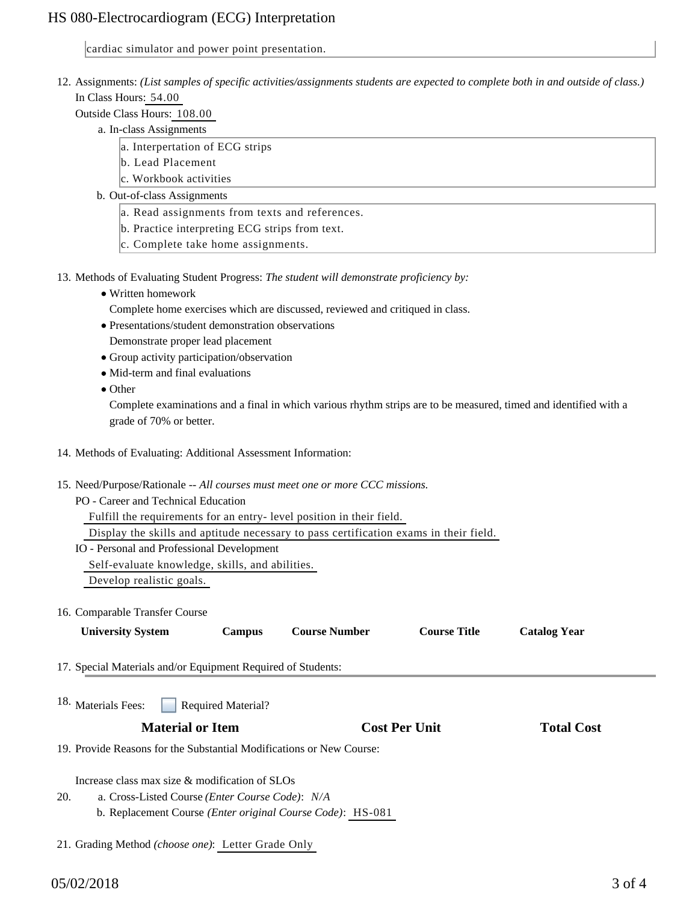## HS 080-Electrocardiogram (ECG) Interpretation

cardiac simulator and power point presentation.

- 12. Assignments: (List samples of specific activities/assignments students are expected to complete both in and outside of class.) In Class Hours: 54.00
	- Outside Class Hours: 108.00
		- a. In-class Assignments
			- a. Interpertation of ECG strips
			- b. Lead Placement
			- c. Workbook activities
		- b. Out-of-class Assignments
			- a. Read assignments from texts and references.
			- b. Practice interpreting ECG strips from text.
			- c. Complete take home assignments.
- 13. Methods of Evaluating Student Progress: The student will demonstrate proficiency by:
	- Written homework
	- Complete home exercises which are discussed, reviewed and critiqued in class.
	- Presentations/student demonstration observations
	- Demonstrate proper lead placement
	- Group activity participation/observation
	- Mid-term and final evaluations
	- Other

Complete examinations and a final in which various rhythm strips are to be measured, timed and identified with a grade of 70% or better.

- 14. Methods of Evaluating: Additional Assessment Information:
- 15. Need/Purpose/Rationale -- All courses must meet one or more CCC missions.
	- PO Career and Technical Education

Fulfill the requirements for an entry- level position in their field.

Display the skills and aptitude necessary to pass certification exams in their field.

IO - Personal and Professional Development

Self-evaluate knowledge, skills, and abilities.

Develop realistic goals.

### 16. Comparable Transfer Course

| <b>University System</b>                                             | Campus                    | <b>Course Number</b>                                               | <b>Course Title</b>  | <b>Catalog Year</b> |  |
|----------------------------------------------------------------------|---------------------------|--------------------------------------------------------------------|----------------------|---------------------|--|
| 17. Special Materials and/or Equipment Required of Students:         |                           |                                                                    |                      |                     |  |
| 18. Materials Fees:                                                  | <b>Required Material?</b> |                                                                    |                      |                     |  |
| <b>Material or Item</b>                                              |                           |                                                                    | <b>Cost Per Unit</b> | <b>Total Cost</b>   |  |
| 19. Provide Reasons for the Substantial Modifications or New Course: |                           |                                                                    |                      |                     |  |
| Increase class max size $\&$ modification of SLOs                    |                           |                                                                    |                      |                     |  |
| 20.<br>a. Cross-Listed Course ( <i>Enter Course Code</i> ): N/A      |                           |                                                                    |                      |                     |  |
|                                                                      |                           | b. Replacement Course <i>(Enter original Course Code)</i> : HS-081 |                      |                     |  |
| 21. Grading Method <i>(choose one)</i> : Letter Grade Only           |                           |                                                                    |                      |                     |  |